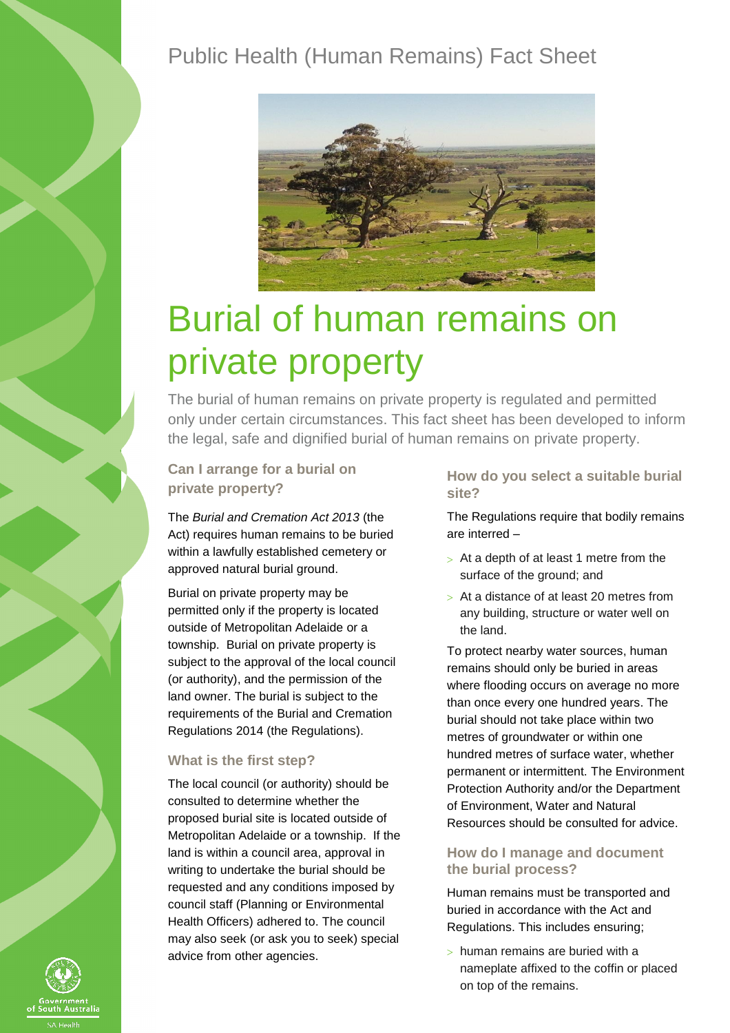# Public Health (Human Remains) Fact Sheet



# Burial of human remains on private property

The burial of human remains on private property is regulated and permitted only under certain circumstances. This fact sheet has been developed to inform the legal, safe and dignified burial of human remains on private property.

**Can I arrange for a burial on private property?**

The *Burial and Cremation Act 2013* (the Act) requires human remains to be buried within a lawfully established cemetery or approved natural burial ground.

Burial on private property may be permitted only if the property is located outside of Metropolitan Adelaide or a township. Burial on private property is subject to the approval of the local council (or authority), and the permission of the land owner. The burial is subject to the requirements of the Burial and Cremation Regulations 2014 (the Regulations).

#### **What is the first step?**

The local council (or authority) should be consulted to determine whether the proposed burial site is located outside of Metropolitan Adelaide or a township. If the land is within a council area, approval in writing to undertake the burial should be requested and any conditions imposed by council staff (Planning or Environmental Health Officers) adhered to. The council may also seek (or ask you to seek) special advice from other agencies.

#### **How do you select a suitable burial site?**

The Regulations require that bodily remains are interred –

- $> At a depth of at least 1 metre from the$ surface of the ground; and
- At a distance of at least 20 metres from any building, structure or water well on the land.

To protect nearby water sources, human remains should only be buried in areas where flooding occurs on average no more than once every one hundred years. The burial should not take place within two metres of groundwater or within one hundred metres of surface water, whether permanent or intermittent. The Environment Protection Authority and/or the Department of Environment, Water and Natural Resources should be consulted for advice.

#### **How do I manage and document the burial process?**

Human remains must be transported and buried in accordance with the Act and Regulations. This includes ensuring;

 $>$  human remains are buried with a nameplate affixed to the coffin or placed on top of the remains.